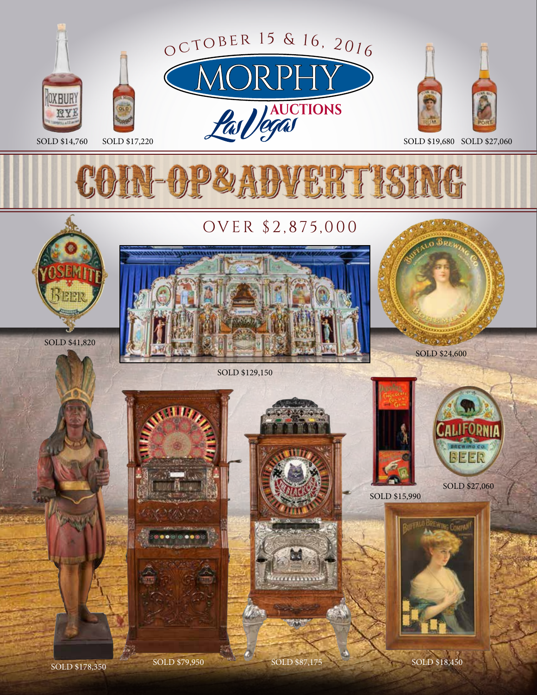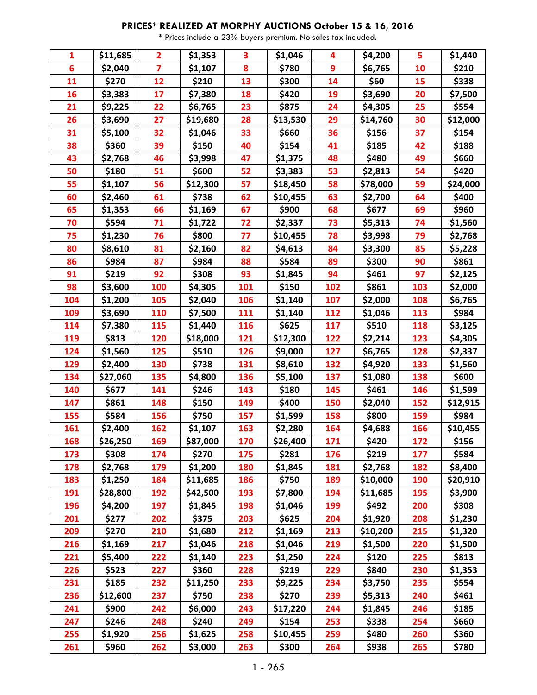| 1               | \$11,685 | $\overline{2}$          | \$1,353  | 3   | \$1,046  | 4   | \$4,200  | 5   | \$1,440  |
|-----------------|----------|-------------------------|----------|-----|----------|-----|----------|-----|----------|
| $6\phantom{1}6$ | \$2,040  | $\overline{\mathbf{z}}$ | \$1,107  | 8   | \$780    | 9   | \$6,765  | 10  | \$210    |
| 11              | \$270    | 12                      | \$210    | 13  | \$300    | 14  | \$60     | 15  | \$338    |
| 16              | \$3,383  | 17                      | \$7,380  | 18  | \$420    | 19  | \$3,690  | 20  | \$7,500  |
| 21              | \$9,225  | 22                      | \$6,765  | 23  | \$875    | 24  | \$4,305  | 25  | \$554    |
| 26              | \$3,690  | 27                      | \$19,680 | 28  | \$13,530 | 29  | \$14,760 | 30  | \$12,000 |
| 31              | \$5,100  | 32                      | \$1,046  | 33  | \$660    | 36  | \$156    | 37  | \$154    |
| 38              | \$360    | 39                      | \$150    | 40  | \$154    | 41  | \$185    | 42  | \$188    |
| 43              | \$2,768  | 46                      | \$3,998  | 47  | \$1,375  | 48  | \$480    | 49  | \$660    |
| 50              | \$180    | 51                      | \$600    | 52  | \$3,383  | 53  | \$2,813  | 54  | \$420    |
| 55              | \$1,107  | 56                      | \$12,300 | 57  | \$18,450 | 58  | \$78,000 | 59  | \$24,000 |
| 60              | \$2,460  | 61                      | \$738    | 62  | \$10,455 | 63  | \$2,700  | 64  | \$400    |
| 65              | \$1,353  | 66                      | \$1,169  | 67  | \$900    | 68  | \$677    | 69  | \$960    |
| 70              | \$594    | 71                      | \$1,722  | 72  | \$2,337  | 73  | \$5,313  | 74  | \$1,560  |
| 75              | \$1,230  | 76                      | \$800    | 77  | \$10,455 | 78  | \$3,998  | 79  | \$2,768  |
| 80              | \$8,610  | 81                      | \$2,160  | 82  | \$4,613  | 84  | \$3,300  | 85  | \$5,228  |
| 86              | \$984    | 87                      | \$984    | 88  | \$584    | 89  | \$300    | 90  | \$861    |
| 91              | \$219    | 92                      | \$308    | 93  | \$1,845  | 94  | \$461    | 97  | \$2,125  |
| 98              | \$3,600  | 100                     | \$4,305  | 101 | \$150    | 102 | \$861    | 103 | \$2,000  |
| 104             | \$1,200  | 105                     | \$2,040  | 106 | \$1,140  | 107 | \$2,000  | 108 | \$6,765  |
| 109             | \$3,690  | 110                     | \$7,500  | 111 | \$1,140  | 112 | \$1,046  | 113 | \$984    |
| 114             | \$7,380  | 115                     | \$1,440  | 116 | \$625    | 117 | \$510    | 118 | \$3,125  |
| 119             | \$813    | 120                     | \$18,000 | 121 | \$12,300 | 122 | \$2,214  | 123 | \$4,305  |
| 124             | \$1,560  | 125                     | \$510    | 126 | \$9,000  | 127 | \$6,765  | 128 | \$2,337  |
| 129             | \$2,400  | 130                     | \$738    | 131 | \$8,610  | 132 | \$4,920  | 133 | \$1,560  |
| 134             | \$27,060 | 135                     | \$4,800  | 136 | \$5,100  | 137 | \$1,080  | 138 | \$600    |
| 140             | \$677    | 141                     | \$246    | 143 | \$180    | 145 | \$461    | 146 | \$1,599  |
| 147             | \$861    | 148                     | \$150    | 149 | \$400    | 150 | \$2,040  | 152 | \$12,915 |
| 155             | \$584    | 156                     | \$750    | 157 | \$1,599  | 158 | \$800    | 159 | \$984    |
| 161             | \$2,400  | 162                     | \$1,107  | 163 | \$2,280  | 164 | \$4,688  | 166 | \$10,455 |
| 168             | \$26,250 | 169                     | \$87,000 | 170 | \$26,400 | 171 | \$420    | 172 | \$156    |
| 173             | \$308    | 174                     | \$270    | 175 | \$281    | 176 | \$219    | 177 | \$584    |
| 178             | \$2,768  | 179                     | \$1,200  | 180 | \$1,845  | 181 | \$2,768  | 182 | \$8,400  |
| 183             | \$1,250  | 184                     | \$11,685 | 186 | \$750    | 189 | \$10,000 | 190 | \$20,910 |
| 191             | \$28,800 | 192                     | \$42,500 | 193 | \$7,800  | 194 | \$11,685 | 195 | \$3,900  |
| 196             | \$4,200  | 197                     | \$1,845  | 198 | \$1,046  | 199 | \$492    | 200 | \$308    |
| 201             | \$277    | 202                     | \$375    | 203 | \$625    | 204 | \$1,920  | 208 | \$1,230  |
| 209             | \$270    | 210                     | \$1,680  | 212 | \$1,169  | 213 | \$10,200 | 215 | \$1,320  |
| 216             | \$1,169  | 217                     | \$1,046  | 218 | \$1,046  | 219 | \$1,500  | 220 | \$1,500  |
| 221             | \$5,400  | 222                     | \$1,140  | 223 | \$1,250  | 224 | \$120    | 225 | \$813    |
| 226             | \$523    | 227                     | \$360    | 228 | \$219    | 229 | \$840    | 230 | \$1,353  |
| 231             | \$185    | 232                     | \$11,250 | 233 | \$9,225  | 234 | \$3,750  | 235 | \$554    |
| 236             | \$12,600 | 237                     | \$750    | 238 | \$270    | 239 | \$5,313  | 240 | \$461    |
| 241             | \$900    | 242                     | \$6,000  | 243 | \$17,220 | 244 | \$1,845  | 246 | \$185    |
| 247             | \$246    | 248                     | \$240    | 249 | \$154    | 253 | \$338    | 254 | \$660    |
| 255             | \$1,920  | 256                     | \$1,625  | 258 | \$10,455 | 259 | \$480    | 260 | \$360    |
| 261             | \$960    | 262                     | \$3,000  | 263 | \$300    | 264 | \$938    | 265 | \$780    |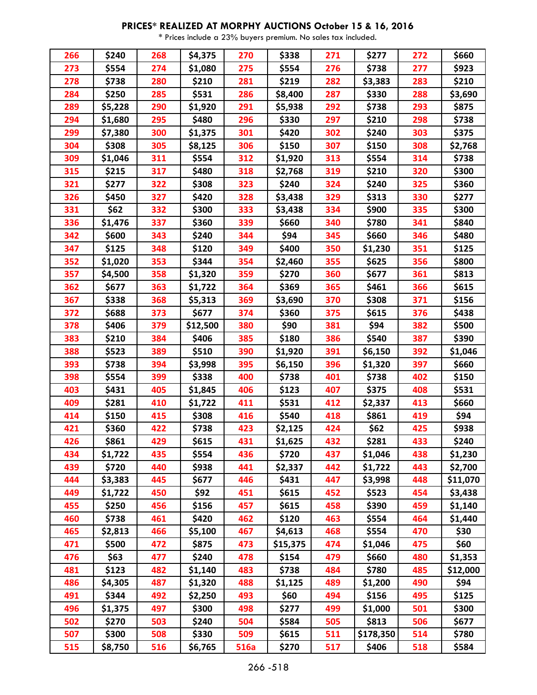| 266 | \$240   | 268 | \$4,375  | 270         | \$338    | 271 | \$277     | 272 | \$660    |
|-----|---------|-----|----------|-------------|----------|-----|-----------|-----|----------|
| 273 | \$554   | 274 | \$1,080  | 275         | \$554    | 276 | \$738     | 277 | \$923    |
| 278 | \$738   | 280 | \$210    | 281         | \$219    | 282 | \$3,383   | 283 | \$210    |
| 284 | \$250   | 285 | \$531    | 286         | \$8,400  | 287 | \$330     | 288 | \$3,690  |
| 289 | \$5,228 | 290 | \$1,920  | 291         | \$5,938  | 292 | \$738     | 293 | \$875    |
| 294 | \$1,680 | 295 | \$480    | 296         | \$330    | 297 | \$210     | 298 | \$738    |
| 299 | \$7,380 | 300 | \$1,375  | 301         | \$420    | 302 | \$240     | 303 | \$375    |
| 304 | \$308   | 305 | \$8,125  | 306         | \$150    | 307 | \$150     | 308 | \$2,768  |
| 309 | \$1,046 | 311 | \$554    | 312         | \$1,920  | 313 | \$554     | 314 | \$738    |
| 315 | \$215   | 317 | \$480    | 318         | \$2,768  | 319 | \$210     | 320 | \$300    |
| 321 | \$277   | 322 | \$308    | 323         | \$240    | 324 | \$240     | 325 | \$360    |
| 326 | \$450   | 327 | \$420    | 328         | \$3,438  | 329 | \$313     | 330 | \$277    |
| 331 | \$62    | 332 | \$300    | 333         | \$3,438  | 334 | \$900     | 335 | \$300    |
| 336 | \$1,476 | 337 | \$360    | 339         | \$660    | 340 | \$780     | 341 | \$840    |
| 342 | \$600   | 343 | \$240    | 344         | \$94     | 345 | \$660     | 346 | \$480    |
| 347 | \$125   | 348 | \$120    | 349         | \$400    | 350 | \$1,230   | 351 | \$125    |
| 352 | \$1,020 | 353 | \$344    | 354         | \$2,460  | 355 | \$625     | 356 | \$800    |
| 357 | \$4,500 | 358 | \$1,320  | 359         | \$270    | 360 | \$677     | 361 | \$813    |
| 362 | \$677   | 363 | \$1,722  | 364         | \$369    | 365 | \$461     | 366 | \$615    |
| 367 | \$338   | 368 | \$5,313  | 369         | \$3,690  | 370 | \$308     | 371 | \$156    |
| 372 | \$688   | 373 | \$677    | 374         | \$360    | 375 | \$615     | 376 | \$438    |
| 378 | \$406   | 379 | \$12,500 | 380         | \$90     | 381 | \$94      | 382 | \$500    |
| 383 | \$210   | 384 | \$406    | 385         | \$180    | 386 | \$540     | 387 | \$390    |
| 388 | \$523   | 389 | \$510    | 390         | \$1,920  | 391 | \$6,150   | 392 | \$1,046  |
| 393 | \$738   | 394 | \$3,998  | 395         | \$6,150  | 396 | \$1,320   | 397 | \$660    |
| 398 | \$554   | 399 | \$338    | 400         | \$738    | 401 | \$738     | 402 | \$150    |
| 403 | \$431   | 405 | \$1,845  | 406         | \$123    | 407 | \$375     | 408 | \$531    |
| 409 | \$281   | 410 | \$1,722  | 411         | \$531    | 412 | \$2,337   | 413 | \$660    |
| 414 | \$150   | 415 | \$308    | 416         | \$540    | 418 | \$861     | 419 | \$94     |
| 421 | \$360   | 422 | \$738    | 423         | \$2,125  | 424 | \$62      | 425 | \$938    |
| 426 | \$861   | 429 | \$615    | 431         | \$1,625  | 432 | \$281     | 433 | \$240    |
| 434 | \$1,722 | 435 | \$554    | 436         | \$720    | 437 | \$1,046   | 438 | \$1,230  |
| 439 | \$720   | 440 | \$938    | 441         | \$2,337  | 442 | \$1,722   | 443 | \$2,700  |
| 444 | \$3,383 | 445 | \$677    | 446         | \$431    | 447 | \$3,998   | 448 | \$11,070 |
| 449 | \$1,722 | 450 | \$92     | 451         | \$615    | 452 | \$523     | 454 | \$3,438  |
| 455 | \$250   | 456 | \$156    | 457         | \$615    | 458 | \$390     | 459 | \$1,140  |
| 460 | \$738   | 461 | \$420    | 462         | \$120    | 463 | \$554     | 464 | \$1,440  |
| 465 | \$2,813 | 466 | \$5,100  | 467         | \$4,613  | 468 | \$554     | 470 | \$30     |
| 471 | \$500   | 472 | \$875    | 473         | \$15,375 | 474 | \$1,046   | 475 | \$60     |
| 476 | \$63    | 477 | \$240    | 478         | \$154    | 479 | \$660     | 480 | \$1,353  |
| 481 | \$123   | 482 | \$1,140  | 483         | \$738    | 484 | \$780     | 485 | \$12,000 |
| 486 | \$4,305 | 487 | \$1,320  | 488         | \$1,125  | 489 | \$1,200   | 490 | \$94     |
| 491 | \$344   | 492 | \$2,250  | 493         | \$60     | 494 | \$156     | 495 | \$125    |
| 496 | \$1,375 | 497 | \$300    | 498         | \$277    | 499 | \$1,000   | 501 | \$300    |
| 502 | \$270   | 503 | \$240    | 504         | \$584    | 505 | \$813     | 506 | \$677    |
| 507 | \$300   | 508 | \$330    | 509         | \$615    | 511 | \$178,350 | 514 | \$780    |
| 515 | \$8,750 | 516 | \$6,765  | <b>516a</b> | \$270    | 517 | \$406     | 518 | \$584    |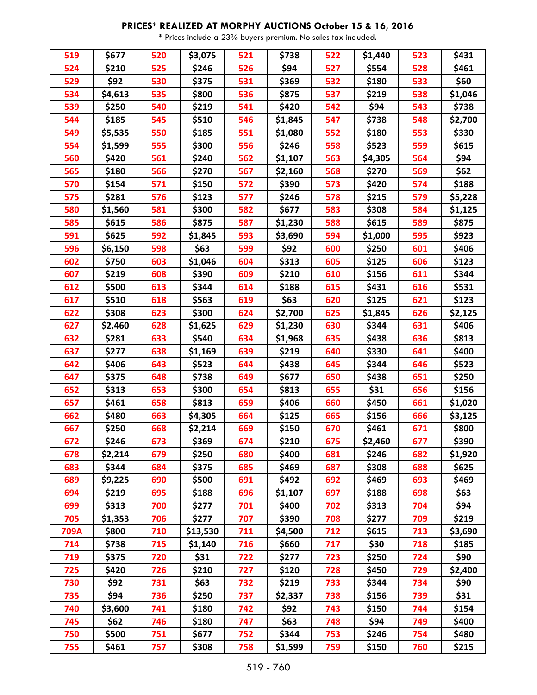| 519  | \$677   | 520 | \$3,075  | 521 | \$738   | 522 | \$1,440 | 523 | \$431   |
|------|---------|-----|----------|-----|---------|-----|---------|-----|---------|
| 524  | \$210   | 525 | \$246    | 526 | \$94    | 527 | \$554   | 528 | \$461   |
| 529  | \$92    | 530 | \$375    | 531 | \$369   | 532 | \$180   | 533 | \$60    |
| 534  | \$4,613 | 535 | \$800    | 536 | \$875   | 537 | \$219   | 538 | \$1,046 |
| 539  | \$250   | 540 | \$219    | 541 | \$420   | 542 | \$94    | 543 | \$738   |
| 544  | \$185   | 545 | \$510    | 546 | \$1,845 | 547 | \$738   | 548 | \$2,700 |
| 549  | \$5,535 | 550 | \$185    | 551 | \$1,080 | 552 | \$180   | 553 | \$330   |
| 554  | \$1,599 | 555 | \$300    | 556 | \$246   | 558 | \$523   | 559 | \$615   |
| 560  | \$420   | 561 | \$240    | 562 | \$1,107 | 563 | \$4,305 | 564 | \$94    |
| 565  | \$180   | 566 | \$270    | 567 | \$2,160 | 568 | \$270   | 569 | \$62    |
| 570  | \$154   | 571 | \$150    | 572 | \$390   | 573 | \$420   | 574 | \$188   |
| 575  | \$281   | 576 | \$123    | 577 | \$246   | 578 | \$215   | 579 | \$5,228 |
| 580  | \$1,560 | 581 | \$300    | 582 | \$677   | 583 | \$308   | 584 | \$1,125 |
| 585  | \$615   | 586 | \$875    | 587 | \$1,230 | 588 | \$615   | 589 | \$875   |
| 591  | \$625   | 592 | \$1,845  | 593 | \$3,690 | 594 | \$1,000 | 595 | \$923   |
| 596  | \$6,150 | 598 | \$63     | 599 | \$92    | 600 | \$250   | 601 | \$406   |
| 602  | \$750   | 603 | \$1,046  | 604 | \$313   | 605 | \$125   | 606 | \$123   |
| 607  | \$219   | 608 | \$390    | 609 | \$210   | 610 | \$156   | 611 | \$344   |
| 612  | \$500   | 613 | \$344    | 614 | \$188   | 615 | \$431   | 616 | \$531   |
| 617  | \$510   | 618 | \$563    | 619 | \$63    | 620 | \$125   | 621 | \$123   |
| 622  | \$308   | 623 | \$300    | 624 | \$2,700 | 625 | \$1,845 | 626 | \$2,125 |
| 627  | \$2,460 | 628 | \$1,625  | 629 | \$1,230 | 630 | \$344   | 631 | \$406   |
| 632  | \$281   | 633 | \$540    | 634 | \$1,968 | 635 | \$438   | 636 | \$813   |
| 637  | \$277   | 638 | \$1,169  | 639 | \$219   | 640 | \$330   | 641 | \$400   |
| 642  | \$406   | 643 | \$523    | 644 | \$438   | 645 | \$344   | 646 | \$523   |
| 647  | \$375   | 648 | \$738    | 649 | \$677   | 650 | \$438   | 651 | \$250   |
| 652  | \$313   | 653 | \$300    | 654 | \$813   | 655 | \$31    | 656 | \$156   |
| 657  | \$461   | 658 | \$813    | 659 | \$406   | 660 | \$450   | 661 | \$1,020 |
| 662  | \$480   | 663 | \$4,305  | 664 | \$125   | 665 | \$156   | 666 | \$3,125 |
| 667  | \$250   | 668 | \$2,214  | 669 | \$150   | 670 | \$461   | 671 | \$800   |
| 672  | \$246   | 673 | \$369    | 674 | \$210   | 675 | \$2,460 | 677 | \$390   |
| 678  | \$2,214 | 679 | \$250    | 680 | \$400   | 681 | \$246   | 682 | \$1,920 |
| 683  | \$344   | 684 | \$375    | 685 | \$469   | 687 | \$308   | 688 | \$625   |
| 689  | \$9,225 | 690 | \$500    | 691 | \$492   | 692 | \$469   | 693 | \$469   |
| 694  | \$219   | 695 | \$188    | 696 | \$1,107 | 697 | \$188   | 698 | \$63    |
| 699  | \$313   | 700 | \$277    | 701 | \$400   | 702 | \$313   | 704 | \$94    |
| 705  | \$1,353 | 706 | \$277    | 707 | \$390   | 708 | \$277   | 709 | \$219   |
| 709A | \$800   | 710 | \$13,530 | 711 | \$4,500 | 712 | \$615   | 713 | \$3,690 |
| 714  | \$738   | 715 | \$1,140  | 716 | \$660   | 717 | \$30    | 718 | \$185   |
| 719  | \$375   | 720 | \$31     | 722 | \$277   | 723 | \$250   | 724 | \$90    |
| 725  | \$420   | 726 | \$210    | 727 | \$120   | 728 | \$450   | 729 | \$2,400 |
| 730  | \$92    | 731 | \$63     | 732 | \$219   | 733 | \$344   | 734 | \$90    |
| 735  | \$94    | 736 | \$250    | 737 | \$2,337 | 738 | \$156   | 739 | \$31    |
| 740  | \$3,600 | 741 | \$180    | 742 | \$92    | 743 | \$150   | 744 | \$154   |
| 745  | \$62    | 746 | \$180    | 747 | \$63    | 748 | \$94    | 749 | \$400   |
| 750  | \$500   | 751 | \$677    | 752 | \$344   | 753 | \$246   | 754 | \$480   |
| 755  | \$461   | 757 | \$308    | 758 | \$1,599 | 759 | \$150   | 760 | \$215   |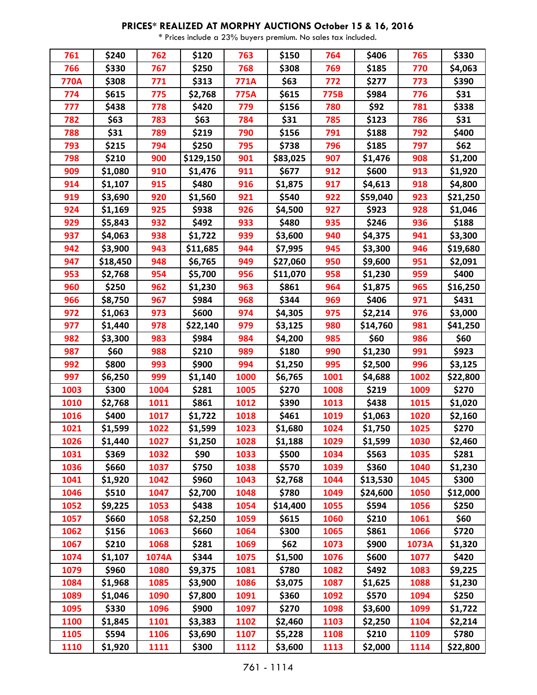| 761         | \$240    | 762   | \$120     | 763         | \$150    | 764  | \$406    | 765   | \$330    |
|-------------|----------|-------|-----------|-------------|----------|------|----------|-------|----------|
| 766         | \$330    | 767   | \$250     | 768         | \$308    | 769  | \$185    | 770   | \$4,063  |
| <b>770A</b> | \$308    | 771   | \$313     | <b>771A</b> | \$63     | 772  | \$277    | 773   | \$390    |
| 774         | \$615    | 775   | \$2,768   | <b>775A</b> | \$615    | 775B | \$984    | 776   | \$31     |
| 777         | \$438    | 778   | \$420     | 779         | \$156    | 780  | \$92     | 781   | \$338    |
| 782         | \$63     | 783   | \$63      | 784         | \$31     | 785  | \$123    | 786   | \$31     |
| 788         | \$31     | 789   | \$219     | 790         | \$156    | 791  | \$188    | 792   | \$400    |
| 793         | \$215    | 794   | \$250     | 795         | \$738    | 796  | \$185    | 797   | \$62     |
| 798         | \$210    | 900   | \$129,150 | 901         | \$83,025 | 907  | \$1,476  | 908   | \$1,200  |
| 909         | \$1,080  | 910   | \$1,476   | 911         | \$677    | 912  | \$600    | 913   | \$1,920  |
| 914         | \$1,107  | 915   | \$480     | 916         | \$1,875  | 917  | \$4,613  | 918   | \$4,800  |
| 919         | \$3,690  | 920   | \$1,560   | 921         | \$540    | 922  | \$59,040 | 923   | \$21,250 |
| 924         | \$1,169  | 925   | \$938     | 926         | \$4,500  | 927  | \$923    | 928   | \$1,046  |
| 929         | \$5,843  | 932   | \$492     | 933         | \$480    | 935  | \$246    | 936   | \$188    |
| 937         | \$4,063  | 938   | \$1,722   | 939         | \$3,600  | 940  | \$4,375  | 941   | \$3,300  |
| 942         | \$3,900  | 943   | \$11,685  | 944         | \$7,995  | 945  | \$3,300  | 946   | \$19,680 |
| 947         | \$18,450 | 948   | \$6,765   | 949         | \$27,060 | 950  | \$9,600  | 951   | \$2,091  |
| 953         | \$2,768  | 954   | \$5,700   | 956         | \$11,070 | 958  | \$1,230  | 959   | \$400    |
| 960         | \$250    | 962   | \$1,230   | 963         | \$861    | 964  | \$1,875  | 965   | \$16,250 |
| 966         | \$8,750  | 967   | \$984     | 968         | \$344    | 969  | \$406    | 971   | \$431    |
| 972         | \$1,063  | 973   | \$600     | 974         | \$4,305  | 975  | \$2,214  | 976   | \$3,000  |
| 977         | \$1,440  | 978   | \$22,140  | 979         | \$3,125  | 980  | \$14,760 | 981   | \$41,250 |
| 982         | \$3,300  | 983   | \$984     | 984         | \$4,200  | 985  | \$60     | 986   | \$60     |
| 987         | \$60     | 988   | \$210     | 989         | \$180    | 990  | \$1,230  | 991   | \$923    |
| 992         | \$800    | 993   | \$900     | 994         | \$1,250  | 995  | \$2,500  | 996   | \$3,125  |
| 997         | \$6,250  | 999   | \$1,140   | 1000        | \$6,765  | 1001 | \$4,688  | 1002  | \$22,800 |
| 1003        | \$300    | 1004  | \$281     | 1005        | \$270    | 1008 | \$219    | 1009  | \$270    |
| 1010        | \$2,768  | 1011  | \$861     | 1012        | \$390    | 1013 | \$438    | 1015  | \$1,020  |
| 1016        | \$400    | 1017  | \$1,722   | 1018        | \$461    | 1019 | \$1,063  | 1020  | \$2,160  |
| 1021        | \$1,599  | 1022  | \$1,599   | 1023        | \$1,680  | 1024 | \$1,750  | 1025  | \$270    |
| 1026        | \$1,440  | 1027  | \$1,250   | 1028        | \$1,188  | 1029 | \$1,599  | 1030  | \$2,460  |
| 1031        | \$369    | 1032  | \$90      | 1033        | \$500    | 1034 | \$563    | 1035  | \$281    |
| 1036        | \$660    | 1037  | \$750     | 1038        | \$570    | 1039 | \$360    | 1040  | \$1,230  |
| 1041        | \$1,920  | 1042  | \$960     | 1043        | \$2,768  | 1044 | \$13,530 | 1045  | \$300    |
| 1046        | \$510    | 1047  | \$2,700   | 1048        | \$780    | 1049 | \$24,600 | 1050  | \$12,000 |
| 1052        | \$9,225  | 1053  | \$438     | 1054        | \$14,400 | 1055 | \$594    | 1056  | \$250    |
| 1057        | \$660    | 1058  | \$2,250   | 1059        | \$615    | 1060 | \$210    | 1061  | \$60     |
| 1062        | \$156    | 1063  | \$660     | 1064        | \$300    | 1065 | \$861    | 1066  | \$720    |
| 1067        | \$210    | 1068  | \$281     | 1069        | \$62     | 1073 | \$900    | 1073A | \$1,320  |
| 1074        | \$1,107  | 1074A | \$344     | 1075        | \$1,500  | 1076 | \$600    | 1077  | \$420    |
| 1079        | \$960    | 1080  | \$9,375   | 1081        | \$780    | 1082 | \$492    | 1083  | \$9,225  |
| 1084        | \$1,968  | 1085  | \$3,900   | 1086        | \$3,075  | 1087 | \$1,625  | 1088  | \$1,230  |
| 1089        | \$1,046  | 1090  | \$7,800   | 1091        | \$360    | 1092 | \$570    | 1094  | \$250    |
| 1095        | \$330    | 1096  | \$900     | 1097        | \$270    | 1098 | \$3,600  | 1099  | \$1,722  |
| 1100        | \$1,845  | 1101  | \$3,383   | 1102        | \$2,460  | 1103 | \$2,250  | 1104  | \$2,214  |
| 1105        | \$594    | 1106  | \$3,690   | 1107        | \$5,228  | 1108 | \$210    | 1109  | \$780    |
| 1110        | \$1,920  | 1111  | \$300     | 1112        | \$3,600  | 1113 | \$2,000  | 1114  | \$22,800 |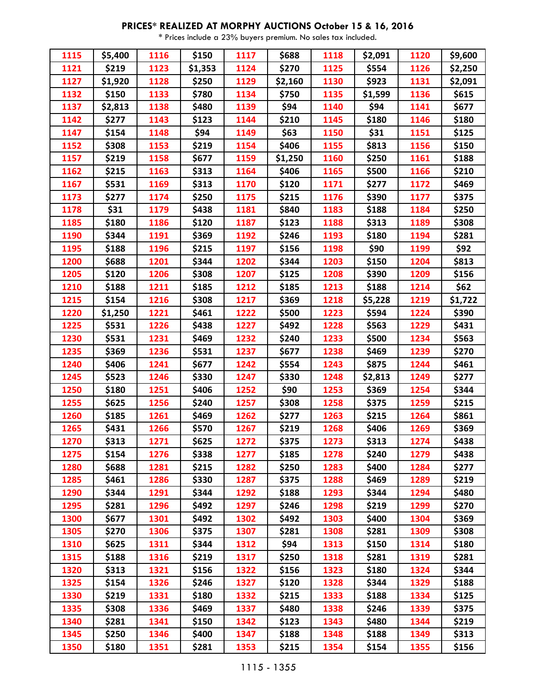| 1115 | \$5,400 | 1116 | \$150   | 1117 | \$688   | 1118 | \$2,091 | 1120 | \$9,600 |
|------|---------|------|---------|------|---------|------|---------|------|---------|
| 1121 | \$219   | 1123 | \$1,353 | 1124 | \$270   | 1125 | \$554   | 1126 | \$2,250 |
| 1127 | \$1,920 | 1128 | \$250   | 1129 | \$2,160 | 1130 | \$923   | 1131 | \$2,091 |
| 1132 | \$150   | 1133 | \$780   | 1134 | \$750   | 1135 | \$1,599 | 1136 | \$615   |
| 1137 | \$2,813 | 1138 | \$480   | 1139 | \$94    | 1140 | \$94    | 1141 | \$677   |
| 1142 | \$277   | 1143 | \$123   | 1144 | \$210   | 1145 | \$180   | 1146 | \$180   |
| 1147 | \$154   | 1148 | \$94    | 1149 | \$63    | 1150 | \$31    | 1151 | \$125   |
| 1152 | \$308   | 1153 | \$219   | 1154 | \$406   | 1155 | \$813   | 1156 | \$150   |
| 1157 | \$219   | 1158 | \$677   | 1159 | \$1,250 | 1160 | \$250   | 1161 | \$188   |
| 1162 | \$215   | 1163 | \$313   | 1164 | \$406   | 1165 | \$500   | 1166 | \$210   |
| 1167 | \$531   | 1169 | \$313   | 1170 | \$120   | 1171 | \$277   | 1172 | \$469   |
| 1173 | \$277   | 1174 | \$250   | 1175 | \$215   | 1176 | \$390   | 1177 | \$375   |
| 1178 | \$31    | 1179 | \$438   | 1181 | \$840   | 1183 | \$188   | 1184 | \$250   |
| 1185 | \$180   | 1186 | \$120   | 1187 | \$123   | 1188 | \$313   | 1189 | \$308   |
| 1190 | \$344   | 1191 | \$369   | 1192 | \$246   | 1193 | \$180   | 1194 | \$281   |
| 1195 | \$188   | 1196 | \$215   | 1197 | \$156   | 1198 | \$90    | 1199 | \$92    |
| 1200 | \$688   | 1201 | \$344   | 1202 | \$344   | 1203 | \$150   | 1204 | \$813   |
| 1205 | \$120   | 1206 | \$308   | 1207 | \$125   | 1208 | \$390   | 1209 | \$156   |
| 1210 | \$188   | 1211 | \$185   | 1212 | \$185   | 1213 | \$188   | 1214 | \$62    |
| 1215 | \$154   | 1216 | \$308   | 1217 | \$369   | 1218 | \$5,228 | 1219 | \$1,722 |
| 1220 | \$1,250 | 1221 | \$461   | 1222 | \$500   | 1223 | \$594   | 1224 | \$390   |
| 1225 | \$531   | 1226 | \$438   | 1227 | \$492   | 1228 | \$563   | 1229 | \$431   |
| 1230 | \$531   | 1231 | \$469   | 1232 | \$240   | 1233 | \$500   | 1234 | \$563   |
| 1235 | \$369   | 1236 | \$531   | 1237 | \$677   | 1238 | \$469   | 1239 | \$270   |
| 1240 | \$406   | 1241 | \$677   | 1242 | \$554   | 1243 | \$875   | 1244 | \$461   |
| 1245 | \$523   | 1246 | \$330   | 1247 | \$330   | 1248 | \$2,813 | 1249 | \$277   |
| 1250 | \$180   | 1251 | \$406   | 1252 | \$90    | 1253 | \$369   | 1254 | \$344   |
| 1255 | \$625   | 1256 | \$240   | 1257 | \$308   | 1258 | \$375   | 1259 | \$215   |
| 1260 | \$185   | 1261 | \$469   | 1262 | \$277   | 1263 | \$215   | 1264 | \$861   |
| 1265 | \$431   | 1266 | \$570   | 1267 | \$219   | 1268 | \$406   | 1269 | \$369   |
| 1270 | \$313   | 1271 | \$625   | 1272 | \$375   | 1273 | \$313   | 1274 | \$438   |
| 1275 | \$154   | 1276 | \$338   | 1277 | \$185   | 1278 | \$240   | 1279 | \$438   |
| 1280 | \$688   | 1281 | \$215   | 1282 | \$250   | 1283 | \$400   | 1284 | \$277   |
| 1285 | \$461   | 1286 | \$330   | 1287 | \$375   | 1288 | \$469   | 1289 | \$219   |
| 1290 | \$344   | 1291 | \$344   | 1292 | \$188   | 1293 | \$344   | 1294 | \$480   |
| 1295 | \$281   | 1296 | \$492   | 1297 | \$246   | 1298 | \$219   | 1299 | \$270   |
| 1300 | \$677   | 1301 | \$492   | 1302 | \$492   | 1303 | \$400   | 1304 | \$369   |
| 1305 | \$270   | 1306 | \$375   | 1307 | \$281   | 1308 | \$281   | 1309 | \$308   |
| 1310 | \$625   | 1311 | \$344   | 1312 | \$94    | 1313 | \$150   | 1314 | \$180   |
| 1315 | \$188   | 1316 | \$219   | 1317 | \$250   | 1318 | \$281   | 1319 | \$281   |
| 1320 | \$313   | 1321 | \$156   | 1322 | \$156   | 1323 | \$180   | 1324 | \$344   |
| 1325 | \$154   | 1326 | \$246   | 1327 | \$120   | 1328 | \$344   | 1329 | \$188   |
| 1330 | \$219   | 1331 | \$180   | 1332 | \$215   | 1333 | \$188   | 1334 | \$125   |
| 1335 | \$308   | 1336 | \$469   | 1337 | \$480   | 1338 | \$246   | 1339 | \$375   |
| 1340 | \$281   | 1341 | \$150   | 1342 | \$123   | 1343 | \$480   | 1344 | \$219   |
| 1345 | \$250   | 1346 | \$400   | 1347 | \$188   | 1348 | \$188   | 1349 | \$313   |
| 1350 | \$180   | 1351 | \$281   | 1353 | \$215   | 1354 | \$154   | 1355 | \$156   |